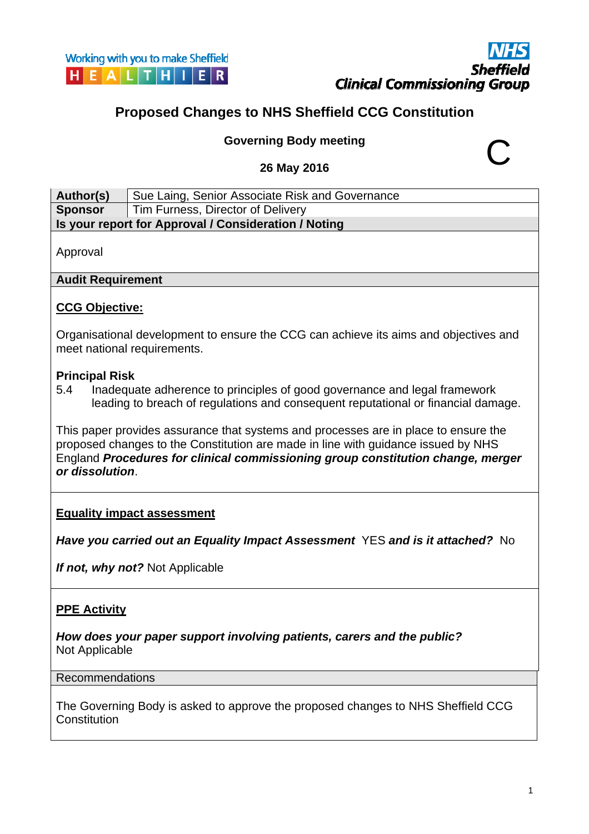## **Proposed Changes to NHS Sheffield CCG Constitution**

# **Governing Body meeting 26 May 2016** C

| Author(s)                                                                                                                                                                                                                                                                      | Sue Laing, Senior Associate Risk and Governance      |  |  |
|--------------------------------------------------------------------------------------------------------------------------------------------------------------------------------------------------------------------------------------------------------------------------------|------------------------------------------------------|--|--|
| <b>Sponsor</b>                                                                                                                                                                                                                                                                 | Tim Furness, Director of Delivery                    |  |  |
|                                                                                                                                                                                                                                                                                | Is your report for Approval / Consideration / Noting |  |  |
| Approval                                                                                                                                                                                                                                                                       |                                                      |  |  |
| <b>Audit Requirement</b>                                                                                                                                                                                                                                                       |                                                      |  |  |
| <b>CCG Objective:</b>                                                                                                                                                                                                                                                          |                                                      |  |  |
| Organisational development to ensure the CCG can achieve its aims and objectives and<br>meet national requirements.                                                                                                                                                            |                                                      |  |  |
| <b>Principal Risk</b><br>Inadequate adherence to principles of good governance and legal framework<br>5.4<br>leading to breach of regulations and consequent reputational or financial damage.                                                                                 |                                                      |  |  |
| This paper provides assurance that systems and processes are in place to ensure the<br>proposed changes to the Constitution are made in line with guidance issued by NHS<br>England Procedures for clinical commissioning group constitution change, merger<br>or dissolution. |                                                      |  |  |
| <b>Equality impact assessment</b><br>Have you carried out an Equality Impact Assessment YES and is it attached? No                                                                                                                                                             |                                                      |  |  |
| If not, why not? Not Applicable                                                                                                                                                                                                                                                |                                                      |  |  |

#### **PPE Activity**

*How does your paper support involving patients, carers and the public?*  Not Applicable

#### Recommendations

The Governing Body is asked to approve the proposed changes to NHS Sheffield CCG **Constitution**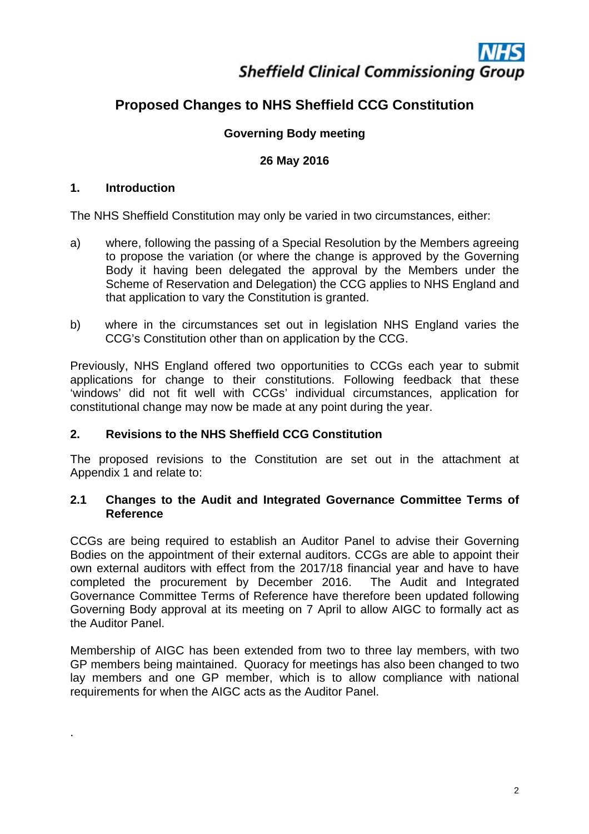# **Sheffield Clinical Commissioning Group**

### **Proposed Changes to NHS Sheffield CCG Constitution**

#### **Governing Body meeting**

#### **26 May 2016**

#### **1. Introduction**

.

The NHS Sheffield Constitution may only be varied in two circumstances, either:

- a) where, following the passing of a Special Resolution by the Members agreeing to propose the variation (or where the change is approved by the Governing Body it having been delegated the approval by the Members under the Scheme of Reservation and Delegation) the CCG applies to NHS England and that application to vary the Constitution is granted.
- b) where in the circumstances set out in legislation NHS England varies the CCG's Constitution other than on application by the CCG.

Previously, NHS England offered two opportunities to CCGs each year to submit applications for change to their constitutions. Following feedback that these 'windows' did not fit well with CCGs' individual circumstances, application for constitutional change may now be made at any point during the year.

#### **2. Revisions to the NHS Sheffield CCG Constitution**

The proposed revisions to the Constitution are set out in the attachment at Appendix 1 and relate to:

#### **2.1 Changes to the Audit and Integrated Governance Committee Terms of Reference**

CCGs are being required to establish an Auditor Panel to advise their Governing Bodies on the appointment of their external auditors. CCGs are able to appoint their own external auditors with effect from the 2017/18 financial year and have to have completed the procurement by December 2016. The Audit and Integrated Governance Committee Terms of Reference have therefore been updated following Governing Body approval at its meeting on 7 April to allow AIGC to formally act as the Auditor Panel.

Membership of AIGC has been extended from two to three lay members, with two GP members being maintained. Quoracy for meetings has also been changed to two lay members and one GP member, which is to allow compliance with national requirements for when the AIGC acts as the Auditor Panel.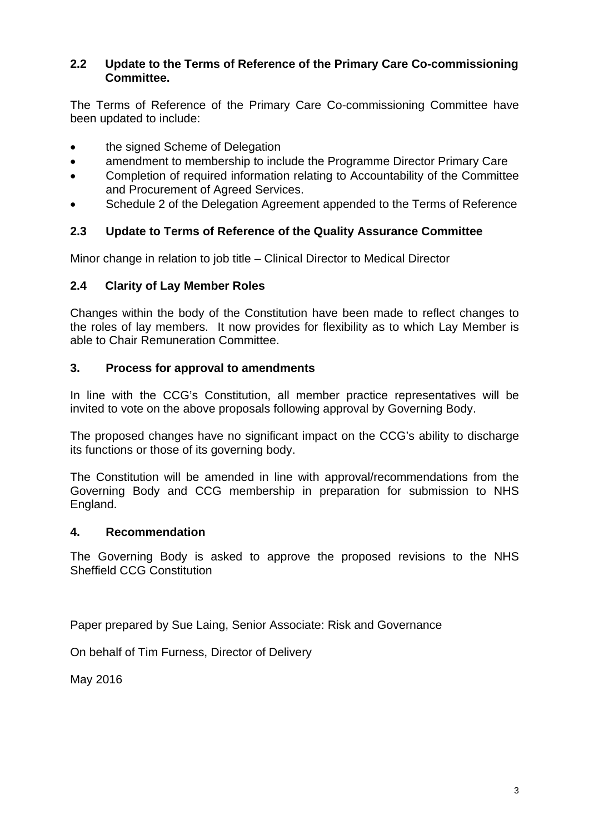#### **2.2 Update to the Terms of Reference of the Primary Care Co-commissioning Committee.**

The Terms of Reference of the Primary Care Co-commissioning Committee have been updated to include:

- the signed Scheme of Delegation
- amendment to membership to include the Programme Director Primary Care
- Completion of required information relating to Accountability of the Committee and Procurement of Agreed Services.
- Schedule 2 of the Delegation Agreement appended to the Terms of Reference

#### **2.3 Update to Terms of Reference of the Quality Assurance Committee**

Minor change in relation to job title – Clinical Director to Medical Director

#### **2.4 Clarity of Lay Member Roles**

Changes within the body of the Constitution have been made to reflect changes to the roles of lay members. It now provides for flexibility as to which Lay Member is able to Chair Remuneration Committee.

#### **3. Process for approval to amendments**

In line with the CCG's Constitution, all member practice representatives will be invited to vote on the above proposals following approval by Governing Body.

The proposed changes have no significant impact on the CCG's ability to discharge its functions or those of its governing body.

The Constitution will be amended in line with approval/recommendations from the Governing Body and CCG membership in preparation for submission to NHS England.

#### **4. Recommendation**

The Governing Body is asked to approve the proposed revisions to the NHS Sheffield CCG Constitution

Paper prepared by Sue Laing, Senior Associate: Risk and Governance

On behalf of Tim Furness, Director of Delivery

May 2016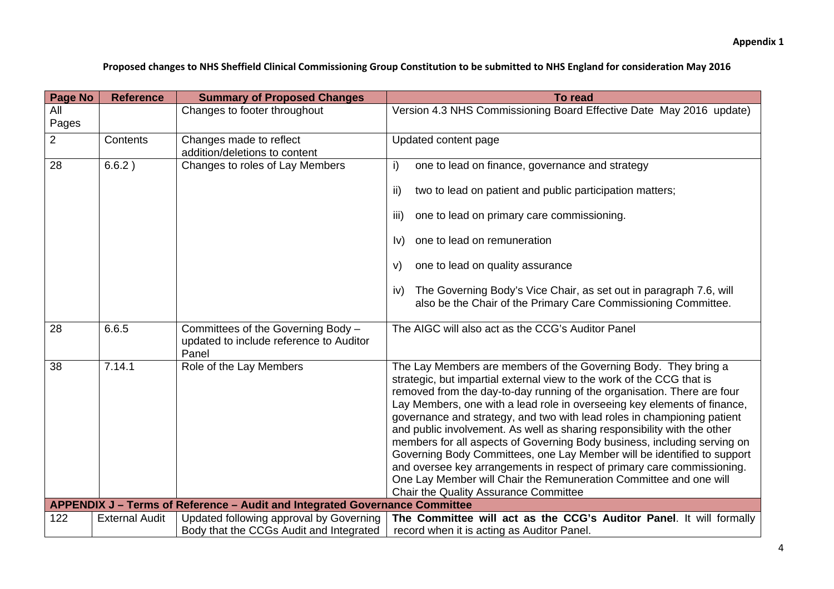Proposed changes to NHS Sheffield Clinical Commissioning Group Constitution to be submitted to NHS England for consideration May 2016

| <b>Page No</b> | <b>Reference</b>      | <b>Summary of Proposed Changes</b>                                                     | To read                                                                                                                                                                                                                                                                                                                                                                                                                                                                                                                                                                                                                                                                                                                                                                                               |  |  |
|----------------|-----------------------|----------------------------------------------------------------------------------------|-------------------------------------------------------------------------------------------------------------------------------------------------------------------------------------------------------------------------------------------------------------------------------------------------------------------------------------------------------------------------------------------------------------------------------------------------------------------------------------------------------------------------------------------------------------------------------------------------------------------------------------------------------------------------------------------------------------------------------------------------------------------------------------------------------|--|--|
| All<br>Pages   |                       | Changes to footer throughout                                                           | Version 4.3 NHS Commissioning Board Effective Date May 2016 update)                                                                                                                                                                                                                                                                                                                                                                                                                                                                                                                                                                                                                                                                                                                                   |  |  |
| $\overline{2}$ | Contents              | Changes made to reflect<br>addition/deletions to content                               | Updated content page                                                                                                                                                                                                                                                                                                                                                                                                                                                                                                                                                                                                                                                                                                                                                                                  |  |  |
| 28             | 6.6.2)                | Changes to roles of Lay Members                                                        | one to lead on finance, governance and strategy<br>i)                                                                                                                                                                                                                                                                                                                                                                                                                                                                                                                                                                                                                                                                                                                                                 |  |  |
|                |                       |                                                                                        | two to lead on patient and public participation matters;<br>ii)                                                                                                                                                                                                                                                                                                                                                                                                                                                                                                                                                                                                                                                                                                                                       |  |  |
|                |                       |                                                                                        | one to lead on primary care commissioning.<br>iii)<br>one to lead on remuneration                                                                                                                                                                                                                                                                                                                                                                                                                                                                                                                                                                                                                                                                                                                     |  |  |
|                |                       |                                                                                        | $\mathsf{I} \mathsf{v}$                                                                                                                                                                                                                                                                                                                                                                                                                                                                                                                                                                                                                                                                                                                                                                               |  |  |
|                |                       |                                                                                        | one to lead on quality assurance<br>V)                                                                                                                                                                                                                                                                                                                                                                                                                                                                                                                                                                                                                                                                                                                                                                |  |  |
|                |                       |                                                                                        | The Governing Body's Vice Chair, as set out in paragraph 7.6, will<br>IV)<br>also be the Chair of the Primary Care Commissioning Committee.                                                                                                                                                                                                                                                                                                                                                                                                                                                                                                                                                                                                                                                           |  |  |
| 28             | 6.6.5                 | Committees of the Governing Body -<br>updated to include reference to Auditor<br>Panel | The AIGC will also act as the CCG's Auditor Panel                                                                                                                                                                                                                                                                                                                                                                                                                                                                                                                                                                                                                                                                                                                                                     |  |  |
| 38             | 7.14.1                | Role of the Lay Members                                                                | The Lay Members are members of the Governing Body. They bring a<br>strategic, but impartial external view to the work of the CCG that is<br>removed from the day-to-day running of the organisation. There are four<br>Lay Members, one with a lead role in overseeing key elements of finance,<br>governance and strategy, and two with lead roles in championing patient<br>and public involvement. As well as sharing responsibility with the other<br>members for all aspects of Governing Body business, including serving on<br>Governing Body Committees, one Lay Member will be identified to support<br>and oversee key arrangements in respect of primary care commissioning.<br>One Lay Member will Chair the Remuneration Committee and one will<br>Chair the Quality Assurance Committee |  |  |
|                |                       | APPENDIX J - Terms of Reference - Audit and Integrated Governance Committee            |                                                                                                                                                                                                                                                                                                                                                                                                                                                                                                                                                                                                                                                                                                                                                                                                       |  |  |
| 122            | <b>External Audit</b> | Updated following approval by Governing<br>Body that the CCGs Audit and Integrated     | The Committee will act as the CCG's Auditor Panel. It will formally<br>record when it is acting as Auditor Panel.                                                                                                                                                                                                                                                                                                                                                                                                                                                                                                                                                                                                                                                                                     |  |  |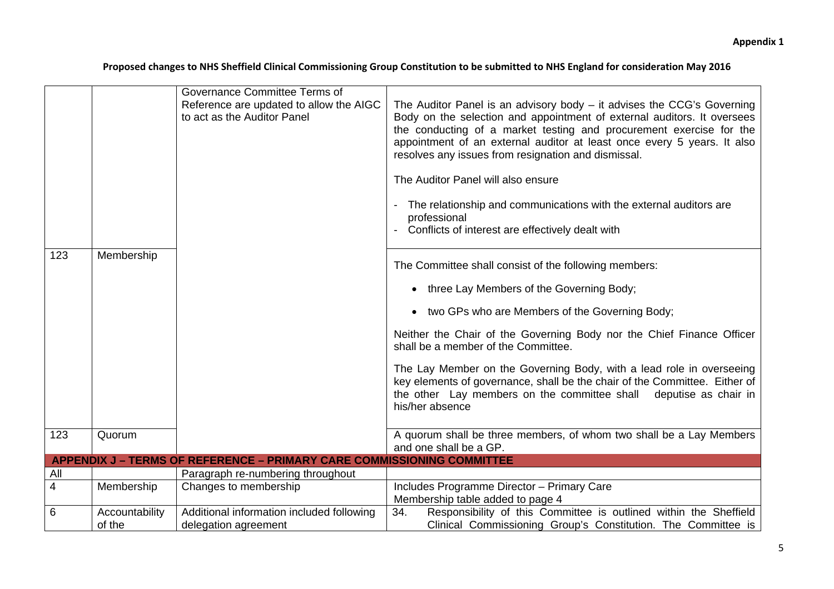#### Proposed changes to NHS Sheffield Clinical Commissioning Group Constitution to be submitted to NHS England for consideration May 2016

|                |                          | Governance Committee Terms of<br>Reference are updated to allow the AIGC<br>to act as the Auditor Panel | The Auditor Panel is an advisory body $-$ it advises the CCG's Governing<br>Body on the selection and appointment of external auditors. It oversees<br>the conducting of a market testing and procurement exercise for the<br>appointment of an external auditor at least once every 5 years. It also<br>resolves any issues from resignation and dismissal.<br>The Auditor Panel will also ensure<br>The relationship and communications with the external auditors are |
|----------------|--------------------------|---------------------------------------------------------------------------------------------------------|--------------------------------------------------------------------------------------------------------------------------------------------------------------------------------------------------------------------------------------------------------------------------------------------------------------------------------------------------------------------------------------------------------------------------------------------------------------------------|
|                |                          |                                                                                                         | professional<br>Conflicts of interest are effectively dealt with                                                                                                                                                                                                                                                                                                                                                                                                         |
| 123            | Membership               |                                                                                                         | The Committee shall consist of the following members:                                                                                                                                                                                                                                                                                                                                                                                                                    |
|                |                          |                                                                                                         | • three Lay Members of the Governing Body;                                                                                                                                                                                                                                                                                                                                                                                                                               |
|                |                          |                                                                                                         | • two GPs who are Members of the Governing Body;                                                                                                                                                                                                                                                                                                                                                                                                                         |
|                |                          |                                                                                                         | Neither the Chair of the Governing Body nor the Chief Finance Officer<br>shall be a member of the Committee.                                                                                                                                                                                                                                                                                                                                                             |
|                |                          |                                                                                                         | The Lay Member on the Governing Body, with a lead role in overseeing<br>key elements of governance, shall be the chair of the Committee. Either of<br>the other Lay members on the committee shall deputise as chair in<br>his/her absence                                                                                                                                                                                                                               |
| 123            | Quorum                   |                                                                                                         | A quorum shall be three members, of whom two shall be a Lay Members<br>and one shall be a GP.                                                                                                                                                                                                                                                                                                                                                                            |
|                |                          | <b>APPENDIX J - TERMS OF REFERENCE - PRIMARY CARE COMMISSIONING COMMITTEE</b>                           |                                                                                                                                                                                                                                                                                                                                                                                                                                                                          |
| All            |                          | Paragraph re-numbering throughout                                                                       |                                                                                                                                                                                                                                                                                                                                                                                                                                                                          |
| $\overline{4}$ | Membership               | Changes to membership                                                                                   | Includes Programme Director - Primary Care<br>Membership table added to page 4                                                                                                                                                                                                                                                                                                                                                                                           |
| 6              | Accountability<br>of the | Additional information included following<br>delegation agreement                                       | Responsibility of this Committee is outlined within the Sheffield<br>34.<br>Clinical Commissioning Group's Constitution. The Committee is                                                                                                                                                                                                                                                                                                                                |